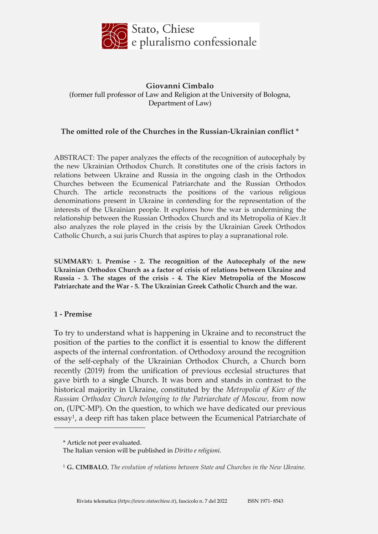

## **Giovanni Cimbalo** (former full professor of Law and Religion at the University of Bologna, Department of Law)

## **The omitted role of the Churches in the Russian-Ukrainian conflict \***

ABSTRACT: The paper analyzes the effects of the recognition of autocephaly by the new Ukrainian Orthodox Church. It constitutes one of the crisis factors in relations between Ukraine and Russia in the ongoing clash in the Orthodox Churches between the Ecumenical Patriarchate and the Russian Orthodox Church. The article reconstructs the positions of the various religious denominations present in Ukraine in contending for the representation of the interests of the Ukrainian people. It explores how the war is undermining the relationship between the Russian Orthodox Church and its Metropolia of Kiev.It also analyzes the role played in the crisis by the Ukrainian Greek Orthodox Catholic Church, a sui juris Church that aspires to play a supranational role.

**SUMMARY: 1. Premise - 2. The recognition of the Autocephaly of the new Ukrainian Orthodox Church as a factor of crisis of relations between Ukraine and Russia - 3. The stages of the crisis - 4. The Kiev Metropolia of the Moscow Patriarchate and the War - 5. The Ukrainian Greek Catholic Church and the war.**

#### **1 - Premise**

<u>.</u>

To try to understand what is happening in Ukraine and to reconstruct the position of the parties to the conflict it is essential to know the different aspects of the internal confrontation. of Orthodoxy around the recognition of the self-cephaly of the Ukrainian Orthodox Church, a Church born recently (2019) from the unification of previous ecclesial structures that gave birth to a single Church. It was born and stands in contrast to the historical majority in Ukraine, constituted by the *Metropolia of Kiev of the Russian Orthodox Church belonging to the Patriarchate of Moscow,* from now on, (UPC-MP). On the question, to which we have dedicated our previous essay1, a deep rift has taken place between the Ecumenical Patriarchate of

<sup>\*</sup> Article not peer evaluated.

The Italian version will be published in *Diritto e religioni*.

<sup>1</sup> **G. CIMBALO**, *The evolution of relations between State and Churches in the New Ukraine.*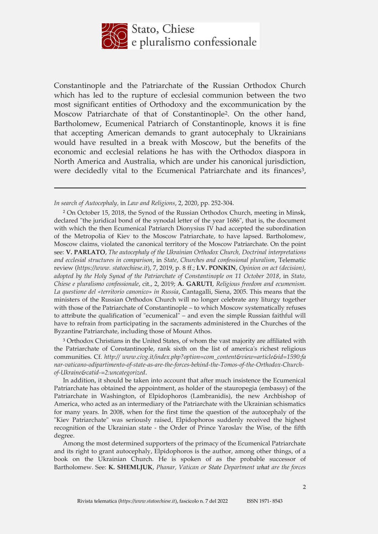

Constantinople and the Patriarchate of the Russian Orthodox Church which has led to the rupture of ecclesial communion between the two most significant entities of Orthodoxy and the excommunication by the Moscow Patriarchate of that of Constantinople2. On the other hand, Bartholomew, Ecumenical Patriarch of Constantinople, knows it is fine that accepting American demands to grant autocephaly to Ukrainians would have resulted in a break with Moscow, but the benefits of the economic and ecclesial relations he has with the Orthodox diaspora in North America and Australia, which are under his canonical jurisdiction, were decidedly vital to the Ecumenical Patriarchate and its finances<sup>3</sup>,

 $\overline{a}$ 

<sup>2</sup> On October 15, 2018, the Synod of the Russian Orthodox Church, meeting in Minsk, declared "the juridical bond of the synodal letter of the year 1686", that is, the document with which the then Ecumenical Patriarch Dionysius IV had accepted the subordination of the Metropolia of Kiev to the Moscow Patriarchate, to have lapsed. Bartholomew, Moscow claims, violated the canonical territory of the Moscow Patriarchate. On the point see: **V. PARLATO**, *The autocephaly of the Ukrainian Orthodox Church, Doctrinal interpretations and ecclesial structures in comparison*, in *State, Churches and confessional pluralism*, Telematic review (*https://www. statoechiese.it*), 7, 2019, p. 8 ff.; **I.V. PONKIN**, *Opinion on act (decision), adopted by the Holy Synod of the Patriarchate of Constantinople on 11 October 2018*, in *Stato, Chiese e pluralismo confessionale*, cit., 2, 2019; **A. GARUTI**, *Religious freedom and ecumenism. La questione del «territorio canonico» in Russia*, Cantagalli, Siena, 2005. This means that the ministers of the Russian Orthodox Church will no longer celebrate any liturgy together with those of the Patriarchate of Constantinople – to which Moscow systematically refuses to attribute the qualification of "ecumenical" – and even the simple Russian faithful will have to refrain from participating in the sacraments administered in the Churches of the Byzantine Patriarchate, including those of Mount Athos.

<sup>3</sup> Orthodox Christians in the United States, of whom the vast majority are affiliated with the Patriarchate of Constantinople, rank sixth on the list of america's richest religious communities. Cf. *http:// www.civg.it/index.php?option=com\_content&view=article&id=1590:fa nar-vaticano-odipartimento-of-state-as-are-the-forces-behind-the-Tomos-of-the-Orthodox-Churchof-Ukraine&catid-=2:uncategorized*[.](http://www.civg.it/index.php?option=com_content&view=article&id=1590%3Afanar-vaticano-odipartimento-)

In addition, it should be taken into account that after much insistence the Ecumenical Patriarchate has obtained the appointment, as holder of the stauropegia (embassy) of the Patriarchate in Washington, of Elpidophoros (Lambranidis), the new Archbishop of America, who acted as an intermediary of the Patriarchate with the Ukrainian schismatics for many years. In 2008, when for the first time the question of the autocephaly of the "Kiev Patriarchate" was seriously raised, Elpidophoros suddenly received the highest recognition of the Ukrainian state - the Order of Prince Yaroslav the Wise, of the fifth degree.

Among the most determined supporters of the primacy of the Ecumenical Patriarchate and its right to grant autocephaly, Elpidophoros is the author, among other things, of a book on the Ukrainian Church. He is spoken of as the probable successor of Bartholomew. See: **K. SHEMLJUK**, *Phanar, Vatican or State Department what are the forces*

*In search of Autocephaly,* in *Law and Religions*, 2, 2020, pp. 252-304.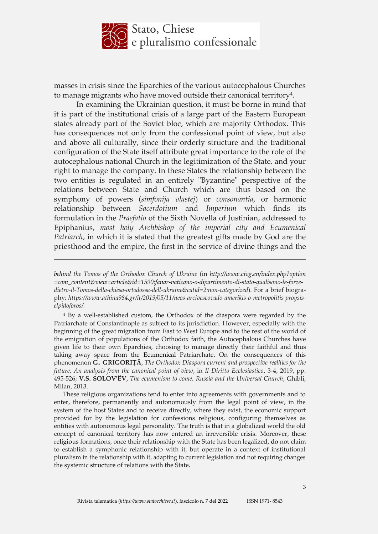

masses in crisis since the Eparchies of the various autocephalous Churches to manage migrants who have moved outside their canonical territory4.

In examining the Ukrainian question, it must be borne in mind that it is part of the institutional crisis of a large part of the Eastern European states already part of the Soviet bloc, which are majority Orthodox. This has consequences not only from the confessional point of view, but also and above all culturally, since their orderly structure and the traditional configuration of the State itself attribute great importance to the role of the autocephalous national Church in the legitimization of the State. and your right to manage the company. In these States the relationship between the two entities is regulated in an entirely "Byzantine" perspective of the relations between State and Church which are thus based on the symphony of powers (*simfonija vlastej*) or *consonantia*, or harmonic relationship between *Sacerdotium* and *Imperium* which finds its formulation in the *Praefatio* of the Sixth Novella of Justinian, addressed to Epiphanius, *most holy Archbishop of the imperial city and Ecumenical Patriarch*, in which it is stated that the greatest gifts made by God are the priesthood and the empire, the first in the service of divine things and the

<u>.</u>

<sup>4</sup> By a well-established custom, the Orthodox of the diaspora were regarded by the Patriarchate of Constantinople as subject to its jurisdiction. However, especially with the beginning of the great migration from East to West Europe and to the rest of the world of the emigration of populations of the Orthodox faith, the Autocephalous Churches have given life to their own Eparchies, choosing to manage directly their faithful and thus taking away space from the Ecumenical Patriarchate. On the consequences of this phenomenon **G. GRIGORIŢĂ**, *The Orthodox Diaspora current and prospective realities for the future. An analysis from the canonical point of view*, in *Il Diritto Ecclesiastico*, 3-4, 2019, pp. 495-526; **V.S. SOLOV'ËV**, *The ecumenism to come. Russia and the Universal Church*, Ghibli, Milan, 2013.

These religious organizations tend to enter into agreements with governments and to enter, therefore, permanently and autonomously from the legal point of view, in the system of the host States and to receive directly, where they exist, the economic support provided for by the legislation for confessions religious, configuring themselves as entities with autonomous legal personality. The truth is that in a globalized world the old concept of canonical territory has now entered an irreversible crisis. Moreover, these religious formations, once their relationship with the State has been legalized, do not claim to establish a symphonic relationship with it, but operate in a context of institutional pluralism in the relationship with it, adapting to current legislation and not requiring changes the systemic structure of relations with the State.

*behind the Tomos of the Orthodox Church of Ukraine* (in *http://www.civg.en/index.php?option =com\_content&view=article&id=1590:fanar-vaticano-o-dipartimento-di-stato-qualisono-le-forzedietro-il-Tomos-della-chiesa-ortodossa-dell-ukraine&catid=2:non-categorized*). For a brief biography*: https:[//www.athina984.gr/it/2019/05/11/neos-arcivescovado-amerikis-o-m](http://www.athina984.gr/it/2019/05/11/neos-arcivescovado-amerikis-o-)etropolitis proysiselpidoforos/.*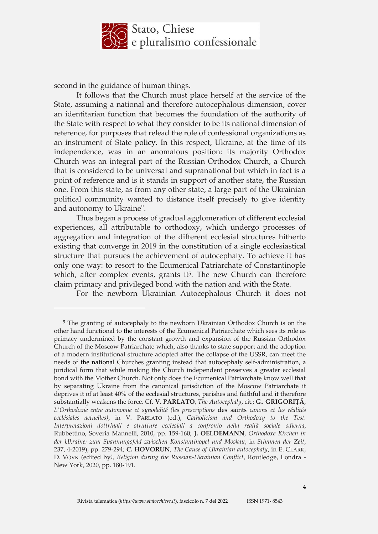

second in the guidance of human things.

<u>.</u>

It follows that the Church must place herself at the service of the State, assuming a national and therefore autocephalous dimension, cover an identitarian function that becomes the foundation of the authority of the State with respect to what they consider to be its national dimension of reference, for purposes that relead the role of confessional organizations as an instrument of State policy. In this respect, Ukraine, at the time of its independence, was in an anomalous position: its majority Orthodox Church was an integral part of the Russian Orthodox Church, a Church that is considered to be universal and supranational but which in fact is a point of reference and is it stands in support of another state, the Russian one. From this state, as from any other state, a large part of the Ukrainian political community wanted to distance itself precisely to give identity and autonomy to Ukraine".

Thus began a process of gradual agglomeration of different ecclesial experiences, all attributable to orthodoxy, which undergo processes of aggregation and integration of the different ecclesial structures hitherto existing that converge in 2019 in the constitution of a single ecclesiastical structure that pursues the achievement of autocephaly. To achieve it has only one way: to resort to the Ecumenical Patriarchate of Constantinople which, after complex events, grants it<sup>5</sup>. The new Church can therefore claim primacy and privileged bond with the nation and with the State.

For the newborn Ukrainian Autocephalous Church it does not

<sup>5</sup> The granting of autocephaly to the newborn Ukrainian Orthodox Church is on the other hand functional to the interests of the Ecumenical Patriarchate which sees its role as primacy undermined by the constant growth and expansion of the Russian Orthodox Church of the Moscow Patriarchate which, also thanks to state support and the adoption of a modern institutional structure adopted after the collapse of the USSR, can meet the needs of the national Churches granting instead that autocephaly self-administration, a juridical form that while making the Church independent preserves a greater ecclesial bond with the Mother Church. Not only does the Ecumenical Patriarchate know well that by separating Ukraine from the canonical jurisdiction of the Moscow Patriarchate it deprives it of at least 40% of the ecclesial structures, parishes and faithful and it therefore substantially weakens the force. Cf. **V. PARLATO**, *The Autocephaly*, cit.; **G. GRIGORIŢĂ**, *L'Orthodoxie entre autonomie et synodalité (les prescriptions* des saints *canons et les réalités ecclésiales actuelles)*, in V. PARLATO (ed.), *Catholicism and Orthodoxy to the Test. Interpretazioni dottrinali e strutture ecclesiali a confronto nella realtà sociale odierna*, Rubbettino, Soveria Mannelli, 2010, pp. 159-160; **J. OELDEMANN**, *Orthodoxe Kirchen in der Ukraine: zum Spannungsfeld zwischen Konstantinopel und Moskau*, in *Stimmen der Zeit*, 237, 4-2019), pp. 279-294; **C. HOVORUN**, *The Cause of Ukrainian autocephaly*, in E. CLARK, D. VOVK (edited by*), Religion during the Russian-Ukrainian Conflict*, Routledge, Londra - New York, 2020, pp. 180-191.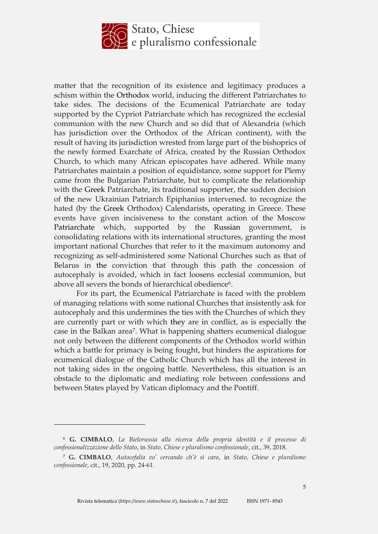

matter that the recognition of its existence and legitimacy produces a schism within the Orthodox world, inducing the different Patriarchates to take sides. The decisions of the Ecumenical Patriarchate are today supported by the Cypriot Patriarchate which has recognized the ecclesial communion with the new Church and so did that of Alexandria (which has jurisdiction over the Orthodox of the African continent), with the result of having its jurisdiction wrested from large part of the bishoprics of the newly formed Exarchate of Africa, created by the Russian Orthodox Church, to which many African episcopates have adhered. While many Patriarchates maintain a position of equidistance, some support for Plemy came from the Bulgarian Patriarchate, but to complicate the relationship with the Greek Patriarchate, its traditional supporter, the sudden decision of the new Ukrainian Patriarch Epiphanius intervened. to recognize the hated (by the Greek Orthodox) Calendarists, operating in Greece. These events have given incisiveness to the constant action of the Moscow Patriarchate which, supported by the Russian government, is consolidating relations with its international structures, granting the most important national Churches that refer to it the maximum autonomy and recognizing as self-administered some National Churches such as that of Belarus in the conviction that through this path the concession of autocephaly is avoided, which in fact loosens ecclesial communion, but above all severs the bonds of hierarchical obedience<sup>6</sup>.

For its part, the Ecumenical Patriarchate is faced with the problem of managing relations with some national Churches that insistently ask for autocephaly and this undermines the ties with the Churches of which they are currently part or with which they are in conflict, as is especially the case in the Balkan area7. What is happening shatters ecumenical dialogue not only between the different components of the Orthodox world within which a battle for primacy is being fought, but hinders the aspirations for ecumenical dialogue of the Catholic Church which has all the interest in not taking sides in the ongoing battle. Nevertheless, this situation is an obstacle to the diplomatic and mediating role between confessions and between States played by Vatican diplomacy and the Pontiff.

<sup>6</sup> **G. CIMBALO**, *La Bielorussia alla ricerca della propria identità e il processo di confessionalizzazione dello Stato*, in *Stato, Chiese e pluralismo confessionale*, cit., 39, 2018.

<sup>7</sup> **G. CIMBALO**, *Autocefalia vo' cercando ch'è sì cara*, in *Stato, Chiese e pluralismo confessionale*, cit., 19, 2020, pp. 24-61.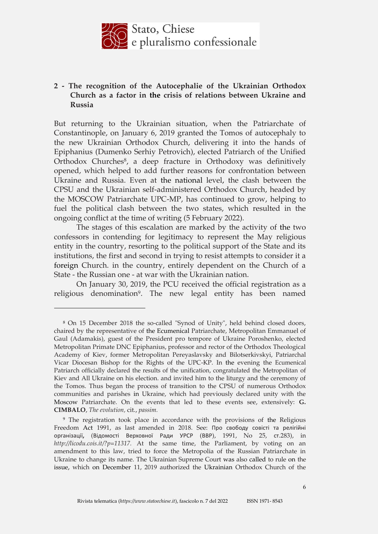

# **2 - The recognition of the Autocephalie of the Ukrainian Orthodox Church as a factor in the crisis of relations between Ukraine and Russia**

But returning to the Ukrainian situation, when the Patriarchate of Constantinople, on January 6, 2019 granted the Tomos of autocephaly to the new Ukrainian Orthodox Church, delivering it into the hands of Epiphanius (Dumenko Serhiy Petrovich), elected Patriarch of the Unified Orthodox Churches<sup>8</sup>, a deep fracture in Orthodoxy was definitively opened, which helped to add further reasons for confrontation between Ukraine and Russia. Even at the national level, the clash between the CPSU and the Ukrainian self-administered Orthodox Church, headed by the MOSCOW Patriarchate UPC-MP, has continued to grow, helping to fuel the political clash between the two states, which resulted in the ongoing conflict at the time of writing (5 February 2022).

The stages of this escalation are marked by the activity of the two confessors in contending for legitimacy to represent the May religious entity in the country, resorting to the political support of the State and its institutions, the first and second in trying to resist attempts to consider it a foreign Church. in the country, entirely dependent on the Church of a State - the Russian one - at war with the Ukrainian nation.

On January 30, 2019, the PCU received the official registration as a religious denomination<sup>9</sup>. The new legal entity has been named

<sup>8</sup> On 15 December 2018 the so-called "Synod of Unity", held behind closed doors, chaired by the representative of the Ecumenical Patriarchate, Metropolitan Emmanuel of Gaul (Adamakis), guest of the President pro tempore of Ukraine Poroshenko, elected Metropolitan Primate DNC Epiphanius, professor and rector of the Orthodox Theological Academy of Kiev, former Metropolitan Pereyaslavsky and Bilotserkivskyi, Patriarchal Vicar Diocesan Bishop for the Rights of the UPC-KP. In the evening the Ecumenical Patriarch officially declared the results of the unification, congratulated the Metropolitan of Kiev and All Ukraine on his election. and invited him to the liturgy and the ceremony of the Tomos. Thus began the process of transition to the CPSU of numerous Orthodox communities and parishes in Ukraine, which had previously declared unity with the Moscow Patriarchate. On the events that led to these events see, extensively: **G. CIMBALO**, *The evolution,* cit., *passim.*

<sup>9</sup> The registration took place in accordance with the provisions of the Religious Freedom Act 1991, as last amended in 2018. See: Про свободу совісті та релігійні організації**,** (Відомості Верховної Ради УРСР (ВВР), 1991, No 25, ст.283), in *[http://licodu.cois.it/?p=11317.](http://licodu.cois.it/?p=11317)* At the same time, the Parliament, by voting on an amendment to this law, tried to force the Metropolia of the Russian Patriarchate in Ukraine to change its name. The Ukrainian Supreme Court was also called to rule on the issue, which on December 11, 2019 authorized the Ukrainian Orthodox Church of the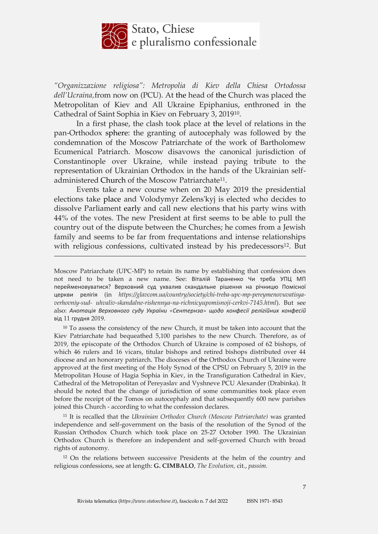

*"Organizzazione religiosa": Metropolia di Kiev della Chiesa Ortodossa dell'Ucraina,*from now on (PCU). At the head of the Church was placed the Metropolitan of Kiev and All Ukraine Epiphanius, enthroned in the Cathedral of Saint Sophia in Kiev on February 3, 201910.

In a first phase, the clash took place at the level of relations in the pan-Orthodox sphere: the granting of autocephaly was followed by the condemnation of the Moscow Patriarchate of the work of Bartholomew Ecumenical Patriarch. Moscow disavows the canonical jurisdiction of Constantinople over Ukraine, while instead paying tribute to the representation of Ukrainian Orthodox in the hands of the Ukrainian selfadministered Church of the Moscow Patriarchate<sup>11</sup>.

Events take a new course when on 20 May 2019 the presidential elections take place and Volodymyr Zelens'kyj is elected who decides to dissolve Parliament early and call new elections that his party wins with 44% of the votes. The new President at first seems to be able to pull the country out of the dispute between the Churches; he comes from a Jewish family and seems to be far from frequentations and intense relationships with religious confessions, cultivated instead by his predecessors<sup>12</sup>. But

<u>.</u>

<sup>10</sup> To assess the consistency of the new Church, it must be taken into account that the Kiev Patriarchate had bequeathed 5,100 parishes to the new Church. Therefore, as of 2019, the episcopate of the Orthodox Church of Ukraine is composed of 62 bishops, of which 46 rulers and 16 vicars, titular bishops and retired bishops distributed over 44 diocese and an honorary patriarch. The dioceses of the Orthodox Church of Ukraine were approved at the first meeting of the Holy Synod of the CPSU on February 5, 2019 in the Metropolitan House of Hagia Sophia in Kiev, in the Transfiguration Cathedral in Kiev, Cathedral of the Metropolitan of Pereyaslav and Vyshneve PCU Alexander (Drabinka). It should be noted that the change of jurisdiction of some communities took place even before the receipt of the Tomos on autocephaly and that subsequently 600 new parishes joined this Church - according to what the confession declares.

<sup>11</sup> It is recalled that the *Ukrainian Orthodox Church (Moscow Patriarchate)* was granted independence and self-government on the basis of the resolution of the Synod of the Russian Orthodox Church which took place on 25-27 October 1990. The Ukrainian Orthodox Church is therefore an independent and self-governed Church with broad rights of autonomy.

<sup>12</sup> On the relations between successive Presidents at the helm of the country and religious confessions, see at length: **G. CIMBALO**, *The Evolution,* cit., *passim.*

Moscow Patriarchate (UPC-MP) to retain its name by establishing that confession does not need to be taken a new name. See: Віталій Тараненко Чи треба УПЦ МП перейменовуватися? Верховний суд ухвалив скандальне рішення на річницю Помісної церкви релігія (in *https://glavcom.ua/country/society/chi-treba-upc-mp-pereymenovuvatisyaverhovniy-sud- uhvaliv-skandalne-rishennya-na-richnicyupomisnoji-cerkvi-7145.html*). But see also: *Анотація Верховного суду України «Сентернза» щодо конфесії релігійних конфесій* від 11 грудня 2019.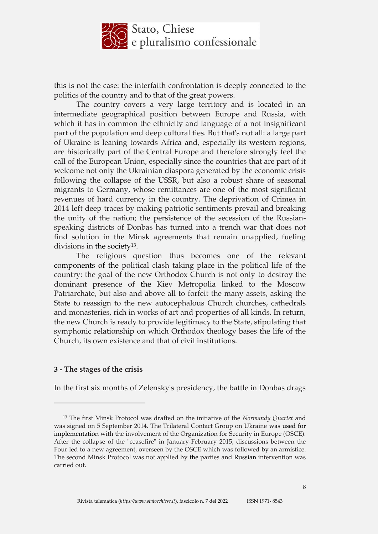

this is not the case: the interfaith confrontation is deeply connected to the politics of the country and to that of the great powers.

The country covers a very large territory and is located in an intermediate geographical position between Europe and Russia, with which it has in common the ethnicity and language of a not insignificant part of the population and deep cultural ties. But that's not all: a large part of Ukraine is leaning towards Africa and, especially its western regions, are historically part of the Central Europe and therefore strongly feel the call of the European Union, especially since the countries that are part of it welcome not only the Ukrainian diaspora generated by the economic crisis following the collapse of the USSR, but also a robust share of seasonal migrants to Germany, whose remittances are one of the most significant revenues of hard currency in the country. The deprivation of Crimea in 2014 left deep traces by making patriotic sentiments prevail and breaking the unity of the nation; the persistence of the secession of the Russianspeaking districts of Donbas has turned into a trench war that does not find solution in the Minsk agreements that remain unapplied, fueling divisions in the society13.

The religious question thus becomes one of the relevant components of the political clash taking place in the political life of the country: the goal of the new Orthodox Church is not only to destroy the dominant presence of the Kiev Metropolia linked to the Moscow Patriarchate, but also and above all to forfeit the many assets, asking the State to reassign to the new autocephalous Church churches, cathedrals and monasteries, rich in works of art and properties of all kinds. In return, the new Church is ready to provide legitimacy to the State, stipulating that symphonic relationship on which Orthodox theology bases the life of the Church, its own existence and that of civil institutions.

#### **3 - The stages of the crisis**

<u>.</u>

In the first six months of Zelensky's presidency, the battle in Donbas drags

<sup>13</sup> The first Minsk Protocol was drafted on the initiative of the *Normandy Quartet* and was signed on 5 September 2014. The Trilateral Contact Group on Ukraine was used for implementation with the involvement of the Organization for Security in Europe (OSCE). After the collapse of the "ceasefire" in January-February 2015, discussions between the Four led to a new agreement, overseen by the OSCE which was followed by an armistice. The second Minsk Protocol was not applied by the parties and Russian intervention was carried out.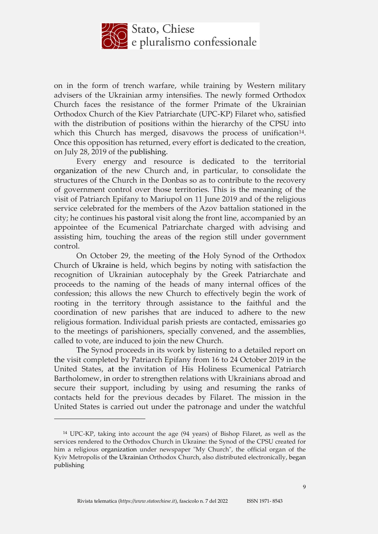

on in the form of trench warfare, while training by Western military advisers of the Ukrainian army intensifies. The newly formed Orthodox Church faces the resistance of the former Primate of the Ukrainian Orthodox Church of the Kiev Patriarchate (UPC-KP) Filaret who, satisfied with the distribution of positions within the hierarchy of the CPSU into which this Church has merged, disavows the process of unification $14$ . Once this opposition has returned, every effort is dedicated to the creation, on July 28, 2019 of the publishing.

Every energy and resource is dedicated to the territorial organization of the new Church and, in particular, to consolidate the structures of the Church in the Donbas so as to contribute to the recovery of government control over those territories. This is the meaning of the visit of Patriarch Epifany to Mariupol on 11 June 2019 and of the religious service celebrated for the members of the Azov battalion stationed in the city; he continues his pastoral visit along the front line, accompanied by an appointee of the Ecumenical Patriarchate charged with advising and assisting him, touching the areas of the region still under government control.

On October 29, the meeting of the Holy Synod of the Orthodox Church of Ukraine is held, which begins by noting with satisfaction the recognition of Ukrainian autocephaly by the Greek Patriarchate and proceeds to the naming of the heads of many internal offices of the confession; this allows the new Church to effectively begin the work of rooting in the territory through assistance to the faithful and the coordination of new parishes that are induced to adhere to the new religious formation. Individual parish priests are contacted, emissaries go to the meetings of parishioners, specially convened, and the assemblies, called to vote, are induced to join the new Church.

The Synod proceeds in its work by listening to a detailed report on the visit completed by Patriarch Epifany from 16 to 24 October 2019 in the United States, at the invitation of His Holiness Ecumenical Patriarch Bartholomew, in order to strengthen relations with Ukrainians abroad and secure their support, including by using and resuming the ranks of contacts held for the previous decades by Filaret. The mission in the United States is carried out under the patronage and under the watchful

 $\overline{a}$ 

<sup>14</sup> UPC-KP, taking into account the age (94 years) of Bishop Filaret, as well as the services rendered to the Orthodox Church in Ukraine: the Synod of the CPSU created for him a religious organization under newspaper "My Church", the official organ of the Kyiv Metropolis of the Ukrainian Orthodox Church, also distributed electronically, began publishing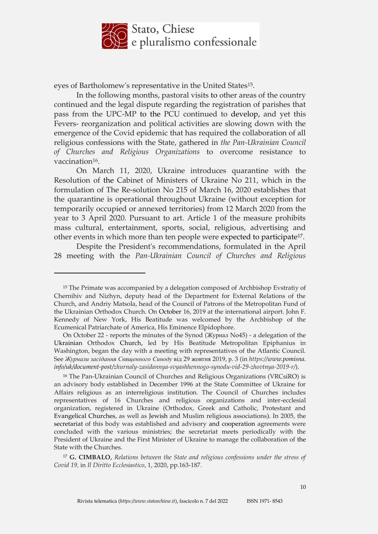

eyes of Bartholomew's representative in the United States15.

In the following months, pastoral visits to other areas of the country continued and the legal dispute regarding the registration of parishes that pass from the UPC-MP to the PCU continued to develop, and yet this Fevers- reorganization and political activities are slowing down with the emergence of the Covid epidemic that has required the collaboration of all religious confessions with the State, gathered in *the Pan-Ukrainian Council of Churches and Religious Organizations* to overcome resistance to vaccination<sup>16</sup>.

On March 11, 2020, Ukraine introduces quarantine with the Resolution of the Cabinet of Ministers of Ukraine No 211, which in the formulation of The Re-solution No 215 of March 16, 2020 establishes that the quarantine is operational throughout Ukraine (without exception for temporarily occupied or annexed territories) from 12 March 2020 from the year to 3 April 2020. Pursuant to art. Article 1 of the measure prohibits mass cultural, entertainment, sports, social, religious, advertising and other events in which more than ten people were expected to participate17.

Despite the President's recommendations, formulated in the April 28 meeting with the *Pan-Ukrainian Council of Churches and Religious*

<sup>15</sup> The Primate was accompanied by a delegation composed of Archbishop Evstratiy of Chernihiv and Nizhyn, deputy head of the Department for External Relations of the Church, and Andriy Matsola, head of the Council of Patrons of the Metropolitan Fund of the Ukrainian Orthodox Church. On October 16, 2019 at the international airport. John F. Kennedy of New York, His Beatitude was welcomed by the Archbishop of the Ecumenical Patriarchate of America, His Eminence Elpidophore.

On October 22 - reports the minutes of the Synod (Журнал No45) - a delegation of the Ukrainian Orthodox Church, led by His Beatitude Metropolitan Epiphanius in Washington, began the day with a meeting with representatives of the Atlantic Council. See *Журнали засідання Священного Синоду* від 29 жовтня 2019, р. 3 (in *https://www.pomisna. info/uk/document-post/zhurnaly-zasidannya-svyashhennogo-synodu-vid-29-zhovtnya-2019-r/*).

<sup>16</sup> The Pan-Ukrainian Council of Churches and Religious Organizations (VRCsiRO) is an advisory body established in December 1996 at the State Committee of Ukraine for Affairs religious as an interreligious institution. The Council of Churches includes representatives of 16 Churches and religious organizations and inter-ecclesial organization, registered in Ukraine (Orthodox, Greek and Catholic, Protestant and Evangelical Churches, as well as Jewish and Muslim religious associations). In 2005, the secretariat of this body was established and advisory and cooperation agreements were concluded with the various ministries; the secretariat meets periodically with the President of Ukraine and the First Minister of Ukraine to manage the collaboration of the State with the Churches.

<sup>17</sup> **G. CIMBALO**, *Relations between the State and religious confessions under the stress of Covid 19,* in *Il Diritto Ecclesiastico*, 1, 2020, pp.163-187.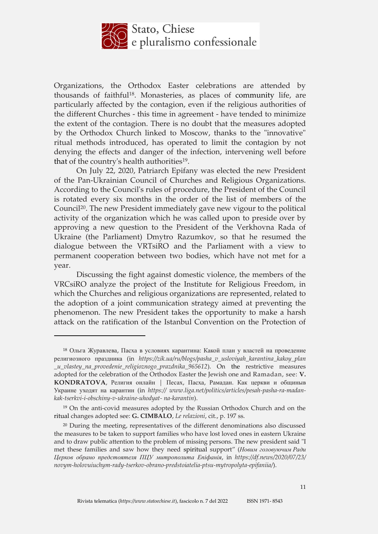

Organizations, the Orthodox Easter celebrations are attended by thousands of faithful18. Monasteries, as places of community life, are particularly affected by the contagion, even if the religious authorities of the different Churches - this time in agreement - have tended to minimize the extent of the contagion. There is no doubt that the measures adopted by the Orthodox Church linked to Moscow, thanks to the "innovative" ritual methods introduced, has operated to limit the contagion by not denying the effects and danger of the infection, intervening well before that of the country's health authorities<sup>19</sup>.

On July 22, 2020, Patriarch Epifany was elected the new President of the Pan-Ukrainian Council of Churches and Religious Organizations. According to the Council's rules of procedure, the President of the Council is rotated every six months in the order of the list of members of the Council20. The new President immediately gave new vigour to the political activity of the organization which he was called upon to preside over by approving a new question to the President of the Verkhovna Rada of Ukraine (the Parliament) Dmytro Razumkov, so that he resumed the dialogue between the VRTsiRO and the Parliament with a view to permanent cooperation between two bodies, which have not met for a year.

Discussing the fight against domestic violence, the members of the VRCsiRO analyze the project of the Institute for Religious Freedom, in which the Churches and religious organizations are represented, related to the adoption of a joint communication strategy aimed at preventing the phenomenon. The new President takes the opportunity to make a harsh attack on the ratification of the Istanbul Convention on the Protection of

<sup>18</sup> Ольга Журавлева, Пасха в условиях карантина: Какой план у властей на проведение религиозного праздника (in *https://zik.ua/ru/blogs/pasha\_v\_usloviyah\_karantina\_kakoy\_plan \_u\_vlastey\_na\_provedenie\_religioznogo\_prazdnika\_965612*). On the restrictive measures adopted for the celebration of the Orthodox Easter the Jewish one and Ramadan, see: **V. KONDRATOVA**, Религия онлайн | Песах, Пасха, Рамадан. Как церкви и общиныв Украине уходят на карантин (in *https:// [www.liga.net/politics/articles/pesah-pasha-ra-m](http://www.liga.net/politics/articles/pesah-pasha-ra-)adankak-tserkvi-i-obschiny-v-ukraine-uhodyat- na-karantin*).

<sup>19</sup> On the anti-covid measures adopted by the Russian Orthodox Church and on the ritual changes adopted see: **G. CIMBALO**, *Le relazioni*, cit., p. 197 ss.

<sup>&</sup>lt;sup>20</sup> During the meeting, representatives of the different denominations also discussed the measures to be taken to support families who have lost loved ones in eastern Ukraine and to draw public attention to the problem of missing persons. The new president said "I met these families and saw how they need spiritual support" (*Новим головуючим Ради Церков обрано предстоятеля ПЦУ митрополита Епіфанія*, in *https://df.news/2020/07/23/ novym-holovuiuchym-rady-tserkov-obrano-predstoiatelia-ptsu-mytropolyta-epifaniia/*).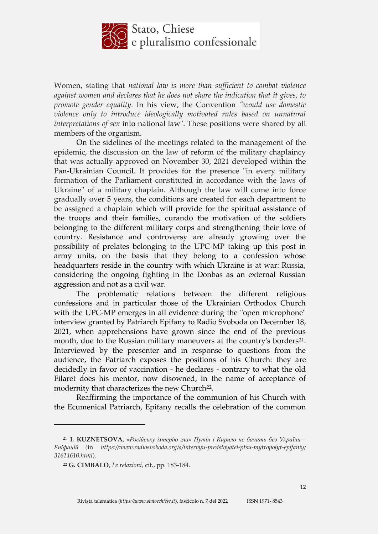

Women, stating that *national law is more than sufficient to combat violence against women and declares that he does not share the indication that it gives, to promote gender equality.* In his view, the Convention *"would use domestic violence only to introduce ideologically motivated rules based on unnatural interpretations of sex* into national law". These positions were shared by all members of the organism.

On the sidelines of the meetings related to the management of the epidemic, the discussion on the law of reform of the military chaplaincy that was actually approved on November 30, 2021 developed within the Pan-Ukrainian Council. It provides for the presence "in every military formation of the Parliament constituted in accordance with the laws of Ukraine" of a military chaplain. Although the law will come into force gradually over 5 years, the conditions are created for each department to be assigned a chaplain which will provide for the spiritual assistance of the troops and their families, curando the motivation of the soldiers belonging to the different military corps and strengthening their love of country. Resistance and controversy are already growing over the possibility of prelates belonging to the UPC-MP taking up this post in army units, on the basis that they belong to a confession whose headquarters reside in the country with which Ukraine is at war: Russia, considering the ongoing fighting in the Donbas as an external Russian aggression and not as a civil war.

The problematic relations between the different religious confessions and in particular those of the Ukrainian Orthodox Church with the UPC-MP emerges in all evidence during the "open microphone" interview granted by Patriarch Epifany to Radio Svoboda on December 18, 2021, when apprehensions have grown since the end of the previous month, due to the Russian military maneuvers at the country's borders<sup>21</sup>. Interviewed by the presenter and in response to questions from the audience, the Patriarch exposes the positions of his Church: they are decidedly in favor of vaccination - he declares - contrary to what the old Filaret does his mentor, now disowned, in the name of acceptance of modernity that characterizes the new Church<sup>22</sup>.

Reaffirming the importance of the communion of his Church with the Ecumenical Patriarch, Epifany recalls the celebration of the common

<sup>21</sup> **I. KUZNETSOVA**, *«Російську імперію зла» Путін і Кирило не бачать без України – Епіфаній (*in *https://www.radiosvoboda.org/a/intervyu-predstoyatel-ptsu-mytropolyt-epifaniy/ 31614610.html*).

<sup>22</sup> **G. CIMBALO**, *Le relazioni,* cit., pp. 183-184.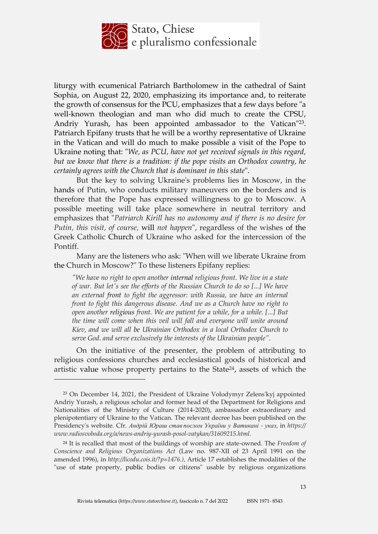

liturgy with ecumenical Patriarch Bartholomew in the cathedral of Saint Sophia, on August 22, 2020, emphasizing its importance and, to reiterate the growth of consensus for the PCU, emphasizes that a few days before "a well-known theologian and man who did much to create the CPSU, Andriy Yurash, has been appointed ambassador to the Vatican"23. Patriarch Epifany trusts that he will be a worthy representative of Ukraine in the Vatican and will do much to make possible a visit of the Pope to Ukraine noting that: "*We, as PCU, have not yet received signals in this regard, but we know that there is a tradition: if the pope visits an Orthodox country, he certainly agrees with the Church that is dominant in this state*".

But the key to solving Ukraine's problems lies in Moscow, in the hands of Putin, who conducts military maneuvers on the borders and is therefore that the Pope has expressed willingness to go to Moscow. A possible meeting will take place somewhere in neutral territory and emphasizes that "*Patriarch Kirill has no autonomy and if there is no desire for Putin, this visit, of course,* will *not happen*", regardless of the wishes of the Greek Catholic Church of Ukraine who asked for the intercession of the Pontiff.

Many are the listeners who ask: "When will we liberate Ukraine from the Church in Moscow?" To these listeners Epifany replies:

*"We have no right to open another internal religious front. We live in a state of war. But let's see the efforts of the Russian Church to do so [...] We have an external front to fight the aggressor: with Russia, we have an internal front to fight this dangerous disease. And we as a Church have no right to open another religious front. We are patient for a while, for a while. [...] But the time will come when this veil will fall and everyone will unite around Kiev, and we will all be Ukrainian Orthodox in a local Orthodox Church to serve God. and serve exclusively the interests of the Ukrainian people".*

On the initiative of the presenter, the problem of attributing to religious confessions churches and ecclesiastical goods of historical and artistic value whose property pertains to the State<sup>24</sup>, assets of which the

<sup>23</sup> On December 14, 2021, the President of Ukraine Volodymyr Zelens'kyj appointed Andriy Yurash, a religious scholar and former head of the Department for Religions and Nationalities of the Ministry of Culture (2014-2020), ambassador extraordinary and plenipotentiary of Ukraine to the Vatican. The relevant decree has been published on the Presidency's website. Cfr. *Андрій Юраш став послом України у Ватикані - указ,* in *https:// www.radiosvoboda.org/a/n[ews-andriy-yurash-posol-v](http://www.radiosvoboda.org/a/news-andriy-yurash-posol-)atykan/31609215.html.*

<sup>24</sup> It is recalled that most of the buildings of worship are state-owned. The *Freedom of Conscience and Religious Organizations Act* (Law no. 987-XII of 23 April 1991 on the amended 1996), in *[http://licodu.cois.it/?p=1476.\),](http://licodu.cois.it/?p=1476.))* Article 17 establishes the modalities of the "use of state property, public bodies or citizens" usable by religious organizations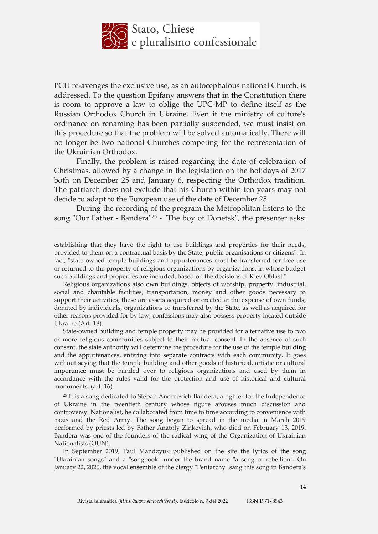

PCU re-avenges the exclusive use, as an autocephalous national Church, is addressed. To the question Epifany answers that in the Constitution there is room to approve a law to oblige the UPC-MP to define itself as the Russian Orthodox Church in Ukraine. Even if the ministry of culture's ordinance on renaming has been partially suspended, we must insist on this procedure so that the problem will be solved automatically. There will no longer be two national Churches competing for the representation of the Ukrainian Orthodox.

Finally, the problem is raised regarding the date of celebration of Christmas, allowed by a change in the legislation on the holidays of 2017 both on December 25 and January 6, respecting the Orthodox tradition. The patriarch does not exclude that his Church within ten years may not decide to adapt to the European use of the date of December 25.

During the recording of the program the Metropolitan listens to the song "Our Father - Bandera"<sup>25</sup> - "The boy of Donetsk", the presenter asks:

<u>.</u>

establishing that they have the right to use buildings and properties for their needs, provided to them on a contractual basis by the State, public organisations or citizens". In fact, "state-owned temple buildings and appurtenances must be transferred for free use or returned to the property of religious organizations by organizations, in whose budget such buildings and properties are included, based on the decisions of Kiev Oblast."

Religious organizations also own buildings, objects of worship, property, industrial, social and charitable facilities, transportation, money and other goods necessary to support their activities; these are assets acquired or created at the expense of own funds, donated by individuals, organizations or transferred by the State, as well as acquired for other reasons provided for by law; confessions may also possess property located outside Ukraine (Art. 18).

State-owned building and temple property may be provided for alternative use to two or more religious communities subject to their mutual consent. In the absence of such consent, the state authority will determine the procedure for the use of the temple building and the appurtenances, entering into separate contracts with each community. It goes without saying that the temple building and other goods of historical, artistic or cultural importance must be handed over to religious organizations and used by them in accordance with the rules valid for the protection and use of historical and cultural monuments. (art. 16).

<sup>25</sup> It is a song dedicated to Stepan Andreevich Bandera, a fighter for the Independence of Ukraine in the twentieth century whose figure arouses much discussion and controversy. Nationalist, he collaborated from time to time according to convenience with nazis and the Red Army. The song began to spread in the media in March 2019 performed by priests led by Father Anatoly Zinkevich, who died on February 13, 2019. Bandera was one of the founders of the radical wing of the Organization of Ukrainian Nationalists (OUN).

In September 2019, Paul Mandzyuk published on the site the lyrics of the song "Ukrainian songs" and a "songbook" under the brand name "a song of rebellion". On January 22, 2020, the vocal ensemble of the clergy "Pentarchy" sang this song in Bandera's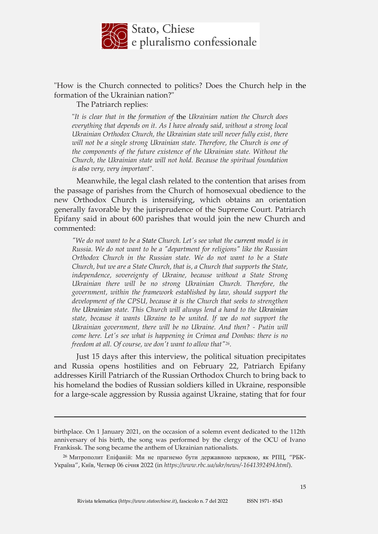

"How is the Church connected to politics? Does the Church help in the formation of the Ukrainian nation?"

The Patriarch replies:

<u>.</u>

"*It is clear that in the formation of* the *Ukrainian nation the Church does everything that depends on it. As I have already said, without a strong local Ukrainian Orthodox Church, the Ukrainian state will never fully exist, there will not be a single strong Ukrainian state. Therefore, the Church is one of the components of the future existence of the Ukrainian state. Without the Church, the Ukrainian state will not hold. Because the spiritual foundation is also very, very important*".

Meanwhile, the legal clash related to the contention that arises from the passage of parishes from the Church of homosexual obedience to the new Orthodox Church is intensifying, which obtains an orientation generally favorable by the jurisprudence of the Supreme Court. Patriarch Epifany said in about 600 parishes that would join the new Church and commented:

*"We do not want to be a State Church. Let's see what the current model is in Russia. We do not want to be a "department for religions" like the Russian Orthodox Church in the Russian state. We do not want to be a State Church, but we are a State Church, that is, a Church that supports the State, independence, sovereignty of Ukraine, because without a State Strong Ukrainian there will be no strong Ukrainian Church. Therefore, the government, within the framework established by law, should support the development of the CPSU, because it is the Church that seeks to strengthen the Ukrainian state. This Church will always lend a hand to the Ukrainian state, because it wants Ukraine to be united. If we do not support the Ukrainian government, there will be no Ukraine. And then? - Putin will come here. Let's see what is happening in Crimea and Donbas: there is no freedom at all. Of course, we don't want to allow that"26.*

Just 15 days after this interview, the political situation precipitates and Russia opens hostilities and on February 22, Patriarch Epifany addresses Kirill Patriarch of the Russian Orthodox Church to bring back to his homeland the bodies of Russian soldiers killed in Ukraine, responsible for a large-scale aggression by Russia against Ukraine, stating that for four

birthplace. On 1 January 2021, on the occasion of a solemn event dedicated to the 112th anniversary of his birth, the song was performed by the clergy of the OCU of Ivano Frankissk. The song became the anthem of Ukrainian nationalists.

<sup>26</sup> Митрополит Епіфаній: Ми не прагнемо бути державною церквою, як РПЦ, "РБК-Україна", Київ, Четвер 06 січня 2022 (in *[https://www.rbc.ua/ukr/news/-1641392494.html](http://www.rbc.ua/ukr/news/-1641392494.html)*).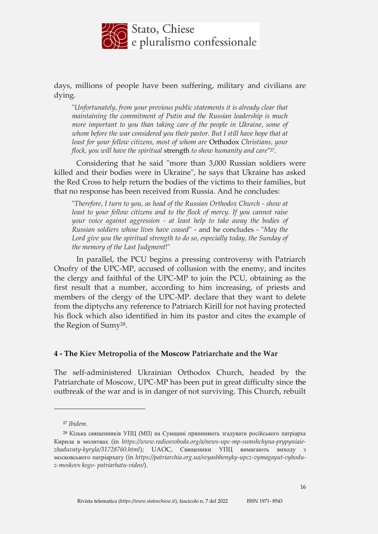

days, millions of people have been suffering, military and civilians are dying.

"*Unfortunately, from your previous public statements it is already clear that maintaining the commitment of Putin and the Russian leadership is much more important to you than taking care of the people in Ukraine, some of*  whom before the war considered you their pastor. But I still have hope that at *least for your fellow citizens, most of whom are* Orthodox *Christians, your flock, you will have the spiritual* strength *to show humanity and care*" 27.

Considering that he said "more than 3,000 Russian soldiers were killed and their bodies were in Ukraine", he says that Ukraine has asked the Red Cross to help return the bodies of the victims to their families, but that no response has been received from Russia. And he concludes:

"*Therefore, I turn to you, as head of the Russian Orthodox Church - show at least to your fellow citizens and to the flock of mercy. If you cannot raise your voice against aggression - at least help to take away the bodies of Russian soldiers whose lives have ceased*" - and he concludes - "*May the*  Lord give you the spiritual strength to do so, especially today, the Sunday of *the memory of the Last Judgment*!"

In parallel, the PCU begins a pressing controversy with Patriarch Onofry of the UPC-MP, accused of collusion with the enemy, and incites the clergy and faithful of the UPC-MP to join the PCU, obtaining as the first result that a number, according to him increasing, of priests and members of the clergy of the UPC-MP. declare that they want to delete from the diptychs any reference to Patriarch Kirill for not having protected his flock which also identified in him its pastor and cites the example of the Region of Sumy28.

#### **4 - The Kiev Metropolia of the Moscow Patriarchate and the War**

The self-administered Ukrainian Orthodox Church, headed by the Patriarchate of Moscow, UPC-MP has been put in great difficulty since the outbreak of the war and is in danger of not surviving. This Church, rebuilt

<sup>27</sup> *Ibidem.*

<sup>28</sup> Кілька священників УПЦ (МП) на Сумщині припиняють згадувати російського патріарха Кирила в молитвах (in *[https://www.radiosvoboda.org/a/news-upc-mp-sumshchyna-prypyniaie](http://www.radiosvoboda.org/a/news-upc-mp-sumshchyna-prypyniaie-)zhaduvaty-kyryla/31728760.html*); UAOC, Священики УПЦ вимагають виходу з московського патріархату (in *https://patriarchia.org.ua/svyashhenyky-upcz-vymagayut-vyhoduz-moskovs kogo- patriarhatu-video/*).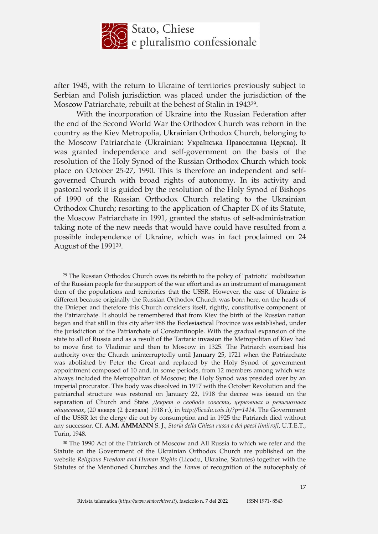

after 1945, with the return to Ukraine of territories previously subject to Serbian and Polish jurisdiction was placed under the jurisdiction of the Moscow Patriarchate, rebuilt at the behest of Stalin in 194329.

With the incorporation of Ukraine into the Russian Federation after the end of the Second World War the Orthodox Church was reborn in the country as the Kiev Metropolia, Ukrainian Orthodox Church, belonging to the Moscow Patriarchate (Ukrainian: Українська Православна Церква). It was granted independence and self-government on the basis of the resolution of the Holy Synod of the Russian Orthodox Church which took place on October 25-27, 1990. This is therefore an independent and selfgoverned Church with broad rights of autonomy. In its activity and pastoral work it is guided by the resolution of the Holy Synod of Bishops of 1990 of the Russian Orthodox Church relating to the Ukrainian Orthodox Church; resorting to the application of Chapter IX of its Statute, the Moscow Patriarchate in 1991, granted the status of self-administration taking note of the new needs that would have could have resulted from a possible independence of Ukraine, which was in fact proclaimed on 24 August of the 199130.

<u>.</u>

<sup>29</sup> The Russian Orthodox Church owes its rebirth to the policy of "patriotic" mobilization of the Russian people for the support of the war effort and as an instrument of management then of the populations and territories that the USSR. However, the case of Ukraine is different because originally the Russian Orthodox Church was born here, on the heads of the Dnieper and therefore this Church considers itself, rightly, constitutive component of the Patriarchate. It should be remembered that from Kiev the birth of the Russian nation began and that still in this city after 988 the Ecclesiastical Province was established, under the jurisdiction of the Patriarchate of Constantinople. With the gradual expansion of the state to all of Russia and as a result of the Tartaric invasion the Metropolitan of Kiev had to move first to Vladimir and then to Moscow in 1325. The Patriarch exercised his authority over the Church uninterruptedly until January 25, 1721 when the Patriarchate was abolished by Peter the Great and replaced by the Holy Synod of government appointment composed of 10 and, in some periods, from 12 members among which was always included the Metropolitan of Moscow; the Holy Synod was presided over by an imperial procurator. This body was dissolved in 1917 with the October Revolution and the patriarchal structure was restored on January 22, 1918 the decree was issued on the separation of Church and State. *Декрет о свободе совести, церковных и религиозных обществах*, (20 января (2 февраля) 1918 г.), in *[http://licodu.cois.it/?p=1414.](http://licodu.cois.it/?p=1414)* The Government of the USSR let the clergy die out by consumption and in 1925 the Patriarch died without any successor. Cf. **A.M. AMMANN** S. J., *Storia della Chiesa russa e dei paesi limitrofi*, U.T.E.T., Turin, 1948.

<sup>30</sup> The 1990 Act of the Patriarch of Moscow and All Russia to which we refer and the Statute on the Government of the Ukrainian Orthodox Church are published on the website *Religious Freedom and Human Rights* (Licodu, Ukraine, Statutes) together with the Statutes of the Mentioned Churches and the *Tomos* of recognition of the autocephaly of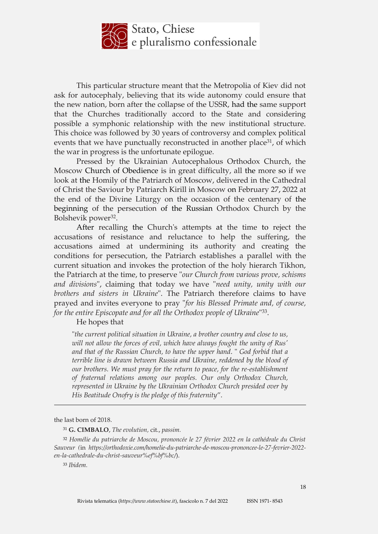

This particular structure meant that the Metropolia of Kiev did not ask for autocephaly, believing that its wide autonomy could ensure that the new nation, born after the collapse of the USSR, had the same support that the Churches traditionally accord to the State and considering possible a symphonic relationship with the new institutional structure. This choice was followed by 30 years of controversy and complex political events that we have punctually reconstructed in another place<sup>31</sup>, of which the war in progress is the unfortunate epilogue.

Pressed by the Ukrainian Autocephalous Orthodox Church, the Moscow Church of Obedience is in great difficulty, all the more so if we look at the Homily of the Patriarch of Moscow, delivered in the Cathedral of Christ the Saviour by Patriarch Kirill in Moscow on February 27, 2022 at the end of the Divine Liturgy on the occasion of the centenary of the beginning of the persecution of the Russian Orthodox Church by the Bolshevik power<sup>32</sup>.

After recalling the Church's attempts at the time to reject the accusations of resistance and reluctance to help the suffering, the accusations aimed at undermining its authority and creating the conditions for persecution, the Patriarch establishes a parallel with the current situation and invokes the protection of the holy hierarch Tikhon, the Patriarch at the time, to preserve "*our Church from various prove, schisms and divisions*", claiming that today we have "*need unity, unity with our brothers and sisters in Ukraine*". The Patriarch therefore claims to have prayed and invites everyone to pray "*for his Blessed Primate and, of course, for the entire Episcopate and for all the Orthodox people of Ukraine*" 33.

#### He hopes that

"*the current political situation in Ukraine, a brother country and close to us, will not allow the forces of evil, which have always fought the unity of Rus' and that of the Russian Church, to have the upper hand*. " *God forbid that a terrible line is drawn between Russia and Ukraine, reddened by the blood of our brothers. We must pray for the return to peace, for the re-establishment of fraternal relations among our peoples. Our only Orthodox Church, represented in Ukraine by the Ukrainian Orthodox Church presided over by His Beatitude Onofry is the pledge of this fraternity*".

the last born of 2018.

<u>.</u>

<sup>31</sup> **G. CIMBALO**, *The evolution,* cit., *passim.*

<sup>32</sup> *Homélie du patriarche de Moscou, prononcée le 27 février 2022 en la cathédrale du Christ Sauveur (*in *https://orthodoxie.com/homelie-du-patriarche-de-moscou-prononcee-le-27-fevrier-2022 en-la-cathedrale-du-christ-sauveur%ef%bf%bc/*).

<sup>33</sup> *Ibidem.*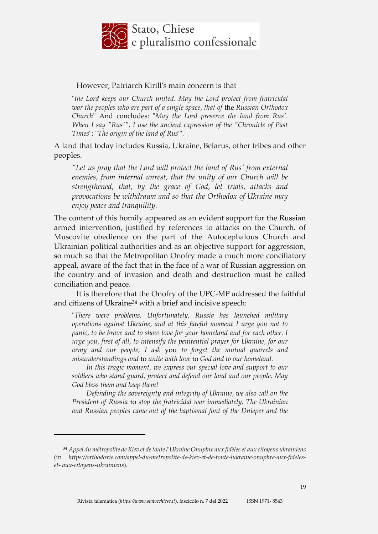

### However, Patriarch Kirill's main concern is that

"*the Lord keeps our Church united*. *May the Lord protect from fratricidal war the peoples who are part of a single space, that of* the *Russian Orthodox Church*" And concludes: "*May the Lord preserve the land from Rus'. When I say "Rus'", I use the ancient expression of the "Chronicle of Past Times*": "*The origin of the land of Rus*'".

A land that today includes Russia, Ukraine, Belarus, other tribes and other peoples.

*"Let us pray that the Lord will protect the land of Rus' from external enemies, from internal unrest, that the unity of our Church will be strengthened, that, by the grace of God, let trials, attacks and provocations be withdrawn and so that the Orthodox of Ukraine may enjoy peace and tranquility.*

The content of this homily appeared as an evident support for the Russian armed intervention, justified by references to attacks on the Church. of Muscovite obedience on the part of the Autocephalous Church and Ukrainian political authorities and as an objective support for aggression, so much so that the Metropolitan Onofry made a much more conciliatory appeal, aware of the fact that in the face of a war of Russian aggression on the country and of invasion and death and destruction must be called conciliation and peace.

It is therefore that the Onofry of the UPC-MP addressed the faithful and citizens of Ukraine<sup>34</sup> with a brief and incisive speech:

"*There were problems. Unfortunately, Russia has launched military operations against Ukraine, and at this fateful moment I urge you not to panic, to be brave and to show love for your homeland and for each other. I urge you, first of all, to intensify the penitential prayer for Ukraine, for our army and our people, I ask* you *to forget the mutual quarrels and misunderstandings and* to *unite with love* to *God and to our homeland.*

*In this tragic moment, we express our special love and support to our soldiers who stand guard, protect and defend our land and our people. May God bless them and keep them!*

*Defending the sovereignty and integrity of Ukraine, we also call on the President of Russia* to *stop the fratricidal war immediately*. *The Ukrainian and Russian peoples came out of the baptismal font of the Dnieper and the* 

<sup>34</sup> *Appel du métropolite de Kiev et detoutel'Ukraine Onuphre aux fidèleset aux citoyens ukrainiens* (in *https://orthodoxie.com/appel-du-metropolite-de-kiev-et-de-toute-lukraine-onuphre-aux-fideleset- aux-citoyens-ukrainiens*).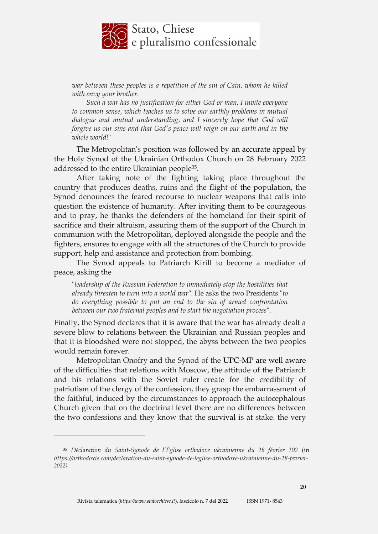

*war between these peoples is a repetition of the sin of Cain, whom he killed with envy your brother.*

*Such a war has no justification for either God or man. I invite everyone to common sense, which teaches us to solve our earthly problems in mutual dialogue and mutual understanding, and I sincerely hope that God will forgive us our sins and that God's peace will reign on our earth and in the whole world*!"

The Metropolitan's position was followed by an accurate appeal by the Holy Synod of the Ukrainian Orthodox Church on 28 February 2022 addressed to the entire Ukrainian people35.

After taking note of the fighting taking place throughout the country that produces deaths, ruins and the flight of the population, the Synod denounces the feared recourse to nuclear weapons that calls into question the existence of humanity. After inviting them to be courageous and to pray, he thanks the defenders of the homeland for their spirit of sacrifice and their altruism, assuring them of the support of the Church in communion with the Metropolitan, deployed alongside the people and the fighters, ensures to engage with all the structures of the Church to provide support, help and assistance and protection from bombing.

The Synod appeals to Patriarch Kirill to become a mediator of peace, asking the

"*leadership of the Russian Federation to immediately stop the hostilities that already threaten to turn into a world war*". He asks the two Presidents "*to do everything possible to put an end to the sin of armed confrontation between our two fraternal peoples and to start the negotiation process*".

Finally, the Synod declares that it is aware that the war has already dealt a severe blow to relations between the Ukrainian and Russian peoples and that it is bloodshed were not stopped, the abyss between the two peoples would remain forever.

Metropolitan Onofry and the Synod of the UPC-MP are well aware of the difficulties that relations with Moscow, the attitude of the Patriarch and his relations with the Soviet ruler create for the credibility of patriotism of the clergy of the confession, they grasp the embarrassment of the faithful, induced by the circumstances to approach the autocephalous Church given that on the doctrinal level there are no differences between the two confessions and they know that the survival is at stake. the very

<sup>35</sup> *Déclaration du Saint-Synode de l'Église orthodoxe ukrainienne du 28 février 202* (in *https://orthodoxie.com/declaration-du-saint-synode-de-leglise-orthodoxe-ukrainienne-du-28-fevrier-2022)*.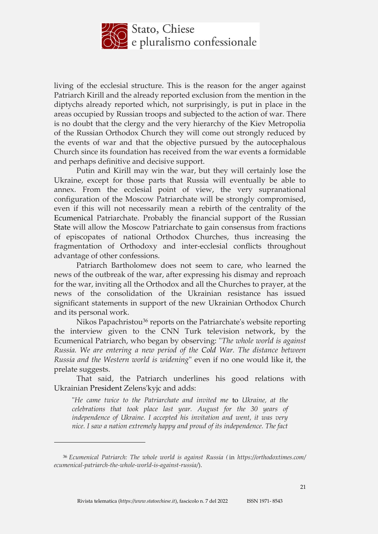

living of the ecclesial structure. This is the reason for the anger against Patriarch Kirill and the already reported exclusion from the mention in the diptychs already reported which, not surprisingly, is put in place in the areas occupied by Russian troops and subjected to the action of war. There is no doubt that the clergy and the very hierarchy of the Kiev Metropolia of the Russian Orthodox Church they will come out strongly reduced by the events of war and that the objective pursued by the autocephalous Church since its foundation has received from the war events a formidable and perhaps definitive and decisive support.

Putin and Kirill may win the war, but they will certainly lose the Ukraine, except for those parts that Russia will eventually be able to annex. From the ecclesial point of view, the very supranational configuration of the Moscow Patriarchate will be strongly compromised, even if this will not necessarily mean a rebirth of the centrality of the Ecumenical Patriarchate. Probably the financial support of the Russian State will allow the Moscow Patriarchate to gain consensus from fractions of episcopates of national Orthodox Churches, thus increasing the fragmentation of Orthodoxy and inter-ecclesial conflicts throughout advantage of other confessions.

Patriarch Bartholomew does not seem to care, who learned the news of the outbreak of the war, after expressing his dismay and reproach for the war, inviting all the Orthodox and all the Churches to prayer, at the news of the consolidation of the Ukrainian resistance has issued significant statements in support of the new Ukrainian Orthodox Church and its personal work.

Nikos Papachristou<sup>36</sup> reports on the Patriarchate's website reporting the interview given to the CNN Turk television network, by the Ecumenical Patriarch, who began by observing: "*The whole world is against Russia. We are entering a new period of the Cold War. The distance between Russia and the Western world is widening*" even if no one would like it, the prelate suggests.

That said, the Patriarch underlines his good relations with Ukrainian President Zelens'kyjc and adds:

"*He came twice to the Patriarchate and invited me* to *Ukraine, at the celebrations that took place last year. August for the 30 years of independence of Ukraine. I accepted his invitation and went, it was very nice. I saw a nation extremely happy and proud of its independence. The fact* 

 $\overline{a}$ 

<sup>36</sup> *Ecumenical Patriarch: The whole world is against Russia (*in *https://orthodoxtimes.com/ ecumenical-patriarch-the-whole-world-is-against-russia/*).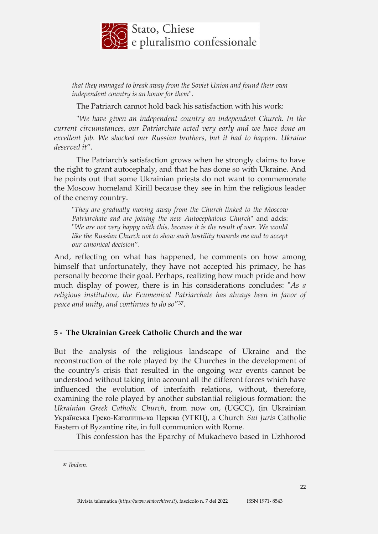

*that they managed to break away from the Soviet Union and found their own independent country is an honor for them*".

The Patriarch cannot hold back his satisfaction with his work:

"*We have given an independent country an independent Church. In the current circumstances, our Patriarchate acted very early and we have done an excellent job. We shocked our Russian brothers, but it had to happen. Ukraine deserved it*".

The Patriarch's satisfaction grows when he strongly claims to have the right to grant autocephaly, and that he has done so with Ukraine. And he points out that some Ukrainian priests do not want to commemorate the Moscow homeland Kirill because they see in him the religious leader of the enemy country.

"*They are gradually moving away from the Church linked to the Moscow Patriarchate and are joining the new Autocephalous Church*" and adds: "*We are not very happy with this, because it is the result of war. We would like the Russian Church not to show such hostility towards me and to accept our canonical decision*".

And, reflecting on what has happened, he comments on how among himself that unfortunately, they have not accepted his primacy, he has personally become their goal. Perhaps, realizing how much pride and how much display of power, there is in his considerations concludes: "*As a religious institution, the Ecumenical Patriarchate has always been in favor of peace and unity, and continues to do so*"37.

## **5 - The Ukrainian Greek Catholic Church and the war**

But the analysis of the religious landscape of Ukraine and the reconstruction of the role played by the Churches in the development of the country's crisis that resulted in the ongoing war events cannot be understood without taking into account all the different forces which have influenced the evolution of interfaith relations, without, therefore, examining the role played by another substantial religious formation: the *Ukrainian Greek Catholic Church*, from now on, (UGCC), (in Ukrainian Українська Греко-Католиць-ка Церква (УГКЦ), a Church *Sui Juris* Catholic Eastern of Byzantine rite, in full communion with Rome.

This confession has the Eparchy of Mukachevo based in Uzhhorod

<sup>37</sup> *Ibidem.*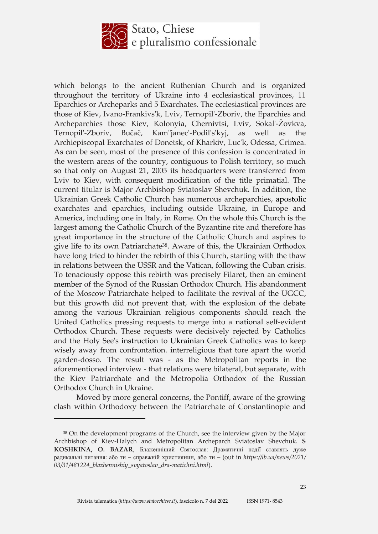

which belongs to the ancient Ruthenian Church and is organized throughout the territory of Ukraine into 4 ecclesiastical provinces, 11 Eparchies or Archeparks and 5 Exarchates. The ecclesiastical provinces are those of Kiev, Ivano-Frankivs'k, Lviv, Ternopil'-Zboriv, the Eparchies and Archeparchies those Kiev, Kolonyia, Chernivtsi, Lviv, Sokal'-Žovkva, Ternopil'-Zboriv, Bučač, Kam"janec'-Podil's'kyj, as well as the Archiepiscopal Exarchates of Donetsk, of Kharkiv, Luc'k, Odessa, Crimea. As can be seen, most of the presence of this confession is concentrated in the western areas of the country, contiguous to Polish territory, so much so that only on August 21, 2005 its headquarters were transferred from Lviv to Kiev, with consequent modification of the title primatial. The current titular is Major Archbishop Sviatoslav Shevchuk. In addition, the Ukrainian Greek Catholic Church has numerous archeparchies, apostolic exarchates and eparchies, including outside Ukraine, in Europe and America, including one in Italy, in Rome. On the whole this Church is the largest among the Catholic Church of the Byzantine rite and therefore has great importance in the structure of the Catholic Church and aspires to give life to its own Patriarchate38. Aware of this, the Ukrainian Orthodox have long tried to hinder the rebirth of this Church, starting with the thaw in relations between the USSR and the Vatican, following the Cuban crisis. To tenaciously oppose this rebirth was precisely Filaret, then an eminent member of the Synod of the Russian Orthodox Church. His abandonment of the Moscow Patriarchate helped to facilitate the revival of the UGCC, but this growth did not prevent that, with the explosion of the debate among the various Ukrainian religious components should reach the United Catholics pressing requests to merge into a national self-evident Orthodox Church. These requests were decisively rejected by Catholics and the Holy See's instruction to Ukrainian Greek Catholics was to keep wisely away from confrontation. interreligious that tore apart the world garden-dosso. The result was - as the Metropolitan reports in the aforementioned interview - that relations were bilateral, but separate, with the Kiev Patriarchate and the Metropolia Orthodox of the Russian Orthodox Church in Ukraine.

Moved by more general concerns, the Pontiff, aware of the growing clash within Orthodoxy between the Patriarchate of Constantinople and

<sup>38</sup> On the development programs of the Church, see the interview given by the Major Archbishop of Kiev-Halych and Metropolitan Archeparch Sviatoslav Shevchuk. **S KOSHKINA, O. BAZAR**, Блаженніший Святослав: Драматичні події ставлять дуже радикальні питання: або ти – справжній християнин, або ти – (out in *https://lb.ua/news/2021/ 03/31/481224\_blazhennishiy\_svyatoslav\_dra-matichni.html*).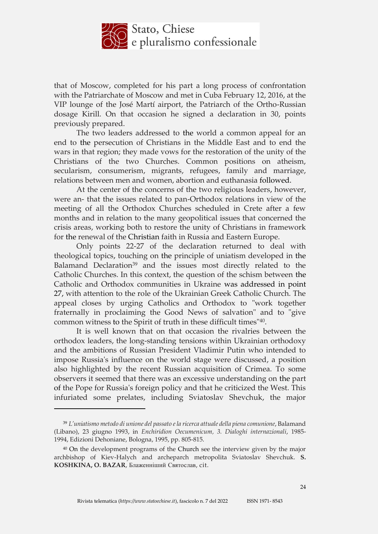

that of Moscow, completed for his part a long process of confrontation with the Patriarchate of Moscow and met in Cuba February 12, 2016, at the VIP lounge of the José Martí airport, the Patriarch of the Ortho-Russian dosage Kirill. On that occasion he signed a declaration in 30, points previously prepared.

The two leaders addressed to the world a common appeal for an end to the persecution of Christians in the Middle East and to end the wars in that region; they made vows for the restoration of the unity of the Christians of the two Churches. Common positions on atheism, secularism, consumerism, migrants, refugees, family and marriage, relations between men and women, abortion and euthanasia followed.

At the center of the concerns of the two religious leaders, however, were an- that the issues related to pan-Orthodox relations in view of the meeting of all the Orthodox Churches scheduled in Crete after a few months and in relation to the many geopolitical issues that concerned the crisis areas, working both to restore the unity of Christians in framework for the renewal of the Christian faith in Russia and Eastern Europe.

Only points 22-27 of the declaration returned to deal with theological topics, touching on the principle of uniatism developed in the Balamand Declaration<sup>39</sup> and the issues most directly related to the Catholic Churches. In this context, the question of the schism between the Catholic and Orthodox communities in Ukraine was addressed in point 27, with attention to the role of the Ukrainian Greek Catholic Church. The appeal closes by urging Catholics and Orthodox to "work together fraternally in proclaiming the Good News of salvation" and to "give common witness to the Spirit of truth in these difficult times"40.

It is well known that on that occasion the rivalries between the orthodox leaders, the long-standing tensions within Ukrainian orthodoxy and the ambitions of Russian President Vladimir Putin who intended to impose Russia's influence on the world stage were discussed, a position also highlighted by the recent Russian acquisition of Crimea. To some observers it seemed that there was an excessive understanding on the part of the Pope for Russia's foreign policy and that he criticized the West. This infuriated some prelates, including Sviatoslav Shevchuk, the major

<sup>39</sup> *L'uniatismo metodo di unione del passato ela ricerca attuale della piena comunione*, Balamand (Libano), 23 giugno 1993, in *Enchiridion Oecumenicum, 3. Dialoghi internazionali*, 1985- 1994, Edizioni Dehoniane, Bologna, 1995, pp. 805-815.

<sup>40</sup> On the development programs of the Church see the interview given by the major archbishop of Kiev-Halych and archeparch metropolita Sviatoslav Shevchuk. **S. KOSHKINA, O. BAZAR**, Блаженніший Святослав, cit.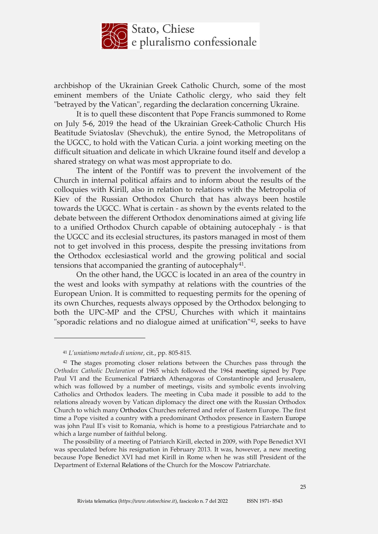

archbishop of the Ukrainian Greek Catholic Church, some of the most eminent members of the Uniate Catholic clergy, who said they felt "betrayed by the Vatican", regarding the declaration concerning Ukraine.

It is to quell these discontent that Pope Francis summoned to Rome on July 5-6, 2019 the head of the Ukrainian Greek-Catholic Church His Beatitude Sviatoslav (Shevchuk), the entire Synod, the Metropolitans of the UGCC, to hold with the Vatican Curia. a joint working meeting on the difficult situation and delicate in which Ukraine found itself and develop a shared strategy on what was most appropriate to do.

The intent of the Pontiff was to prevent the involvement of the Church in internal political affairs and to inform about the results of the colloquies with Kirill, also in relation to relations with the Metropolia of Kiev of the Russian Orthodox Church that has always been hostile towards the UGCC. What is certain - as shown by the events related to the debate between the different Orthodox denominations aimed at giving life to a unified Orthodox Church capable of obtaining autocephaly - is that the UGCC and its ecclesial structures, its pastors managed in most of them not to get involved in this process, despite the pressing invitations from the Orthodox ecclesiastical world and the growing political and social tensions that accompanied the granting of autocephaly $41$ .

On the other hand, the UGCC is located in an area of the country in the west and looks with sympathy at relations with the countries of the European Union. It is committed to requesting permits for the opening of its own Churches, requests always opposed by the Orthodox belonging to both the UPC-MP and the CPSU, Churches with which it maintains "sporadic relations and no dialogue aimed at unification"42, seeks to have

<sup>41</sup> *L'uniatismo metodo di unione*, cit., pp. 805-815.

<sup>42</sup> The stages promoting closer relations between the Churches pass through the *Orthodox Catholic Declaration* of 1965 which followed the 1964 meeting signed by Pope Paul VI and the Ecumenical Patriarch Athenagoras of Constantinople and Jerusalem, which was followed by a number of meetings, visits and symbolic events involving Catholics and Orthodox leaders. The meeting in Cuba made it possible to add to the relations already woven by Vatican diplomacy the direct one with the Russian Orthodox Church to which many Orthodox Churches referred and refer of Eastern Europe. The first time a Pope visited a country with a predominant Orthodox presence in Eastern Europe was john Paul II's visit to Romania, which is home to a prestigious Patriarchate and to which a large number of faithful belong.

The possibility of a meeting of Patriarch Kirill, elected in 2009, with Pope Benedict XVI was speculated before his resignation in February 2013. It was, however, a new meeting because Pope Benedict XVI had met Kirill in Rome when he was still President of the Department of External Relations of the Church for the Moscow Patriarchate.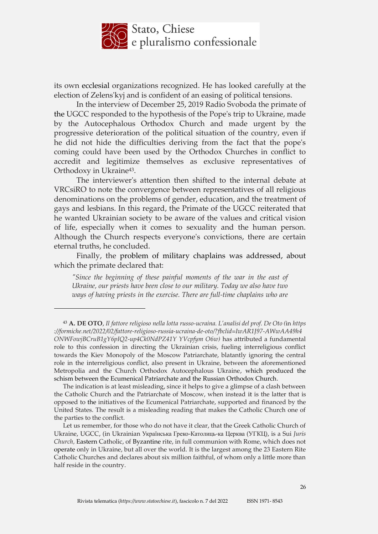

its own ecclesial organizations recognized. He has looked carefully at the election of Zelens'kyj and is confident of an easing of political tensions.

In the interview of December 25, 2019 Radio Svoboda the primate of the UGCC responded to the hypothesis of the Pope's trip to Ukraine, made by the Autocephalous Orthodox Church and made urgent by the progressive deterioration of the political situation of the country, even if he did not hide the difficulties deriving from the fact that the pope's coming could have been used by the Orthodox Churches in conflict to accredit and legitimize themselves as exclusive representatives of Orthodoxy in Ukraine43.

The interviewer's attention then shifted to the internal debate at VRCsiRO to note the convergence between representatives of all religious denominations on the problems of gender, education, and the treatment of gays and lesbians. In this regard, the Primate of the UGCC reiterated that he wanted Ukrainian society to be aware of the values and critical vision of life, especially when it comes to sexuality and the human person. Although the Church respects everyone's convictions, there are certain eternal truths, he concluded.

Finally, the problem of military chaplains was addressed, about which the primate declared that:

*"Since the beginning of these painful moments of the war in the east of Ukraine, our priests have been close to our military. Today we also have two ways of having priests in the exercise. There are full-time chaplains who are* 

<sup>43</sup> **A. DE OTO**, *Il fattore religioso nella lotta russo-ucraina. L'analisi del prof. De Oto (*in *https ://formiche.net/2022/02/fattore-religioso-russia-ucraina-de-oto/?fbclid=IwAR1J97-AWwAA49h4 ONWFowjBCruB1gY6pIQ2-up4Ck0NdPZ41Y YVcpfym O6w)* has attributed a fundamental role to this confession in directing the Ukrainian crisis, fueling interreligious conflict towards the Kiev Monopoly of the Moscow Patriarchate, blatantly ignoring the central role in the interreligious conflict, also present in Ukraine, between the aforementioned Metropolia and the Church Orthodox Autocephalous Ukraine, which produced the schism between the Ecumenical Patriarchate and the Russian Orthodox Church.

The indication is at least misleading, since it helps to give a glimpse of a clash between the Catholic Church and the Patriarchate of Moscow, when instead it is the latter that is opposed to the initiatives of the Ecumenical Patriarchate, supported and financed by the United States. The result is a misleading reading that makes the Catholic Church one of the parties to the conflict.

Let us remember, for those who do not have it clear, that the Greek Catholic Church of Ukraine, UGCC, (in Ukrainian Українська Греко-Католиць-ка Церква (УГКЦ), is a Sui *Juris Church,* Eastern Catholic, of Byzantine rite, in full communion with Rome, which does not operate only in Ukraine, but all over the world. It is the largest among the 23 Eastern Rite Catholic Churches and declares about six million faithful, of whom only a little more than half reside in the country.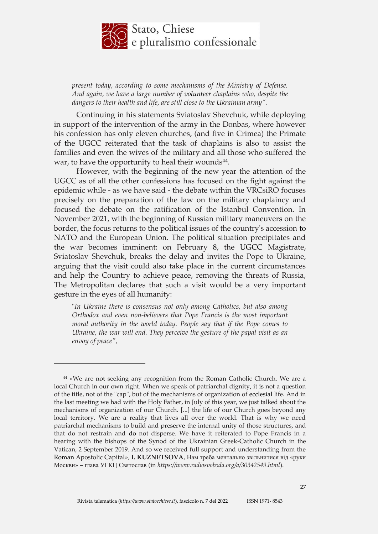

*present today, according to some mechanisms of the Ministry of Defense. And again, we have a large number of volunteer chaplains who, despite the dangers to their health and life, are still close to the Ukrainian army".*

Continuing in his statements Sviatoslav Shevchuk, while deploying in support of the intervention of the army in the Donbas, where however his confession has only eleven churches, (and five in Crimea) the Primate of the UGCC reiterated that the task of chaplains is also to assist the families and even the wives of the military and all those who suffered the war, to have the opportunity to heal their wounds<sup>44</sup>.

However, with the beginning of the new year the attention of the UGCC as of all the other confessions has focused on the fight against the epidemic while - as we have said - the debate within the VRCsiRO focuses precisely on the preparation of the law on the military chaplaincy and focused the debate on the ratification of the Istanbul Convention. In November 2021, with the beginning of Russian military maneuvers on the border, the focus returns to the political issues of the country's accession to NATO and the European Union. The political situation precipitates and the war becomes imminent: on February 8, the UGCC Magistrate, Sviatoslav Shevchuk, breaks the delay and invites the Pope to Ukraine, arguing that the visit could also take place in the current circumstances and help the Country to achieve peace, removing the threats of Russia, The Metropolitan declares that such a visit would be a very important gesture in the eyes of all humanity:

"*In Ukraine there is consensus not only among Catholics, but also among Orthodox and even non-believers that Pope Francis is the most important moral authority in the world today. People say that if the Pope comes to Ukraine, the war will end. They perceive the gesture of the papal visit as an envoy of peace",* 

<sup>44</sup> «We are not seeking any recognition from the Roman Catholic Church. We are a local Church in our own right. When we speak of patriarchal dignity, it is not a question of the title, not of the "cap", but of the mechanisms of organization of ecclesial life. And in the last meeting we had with the Holy Father, in July of this year, we just talked about the mechanisms of organization of our Church. [...] the life of our Church goes beyond any local territory. We are a reality that lives all over the world. That is why we need patriarchal mechanisms to build and preserve the internal unity of those structures, and that do not restrain and do not disperse. We have it reiterated to Pope Francis in a hearing with the bishops of the Synod of the Ukrainian Greek-Catholic Church in the Vatican, 2 September 2019. And so we received full support and understanding from the Roman Apostolic Capital», **I. KUZNETSOVA**, Нам треба ментально звільнитися від «руки Москви» – глава УГКЦ Святослав (in *[https://www.radiosvoboda.org/a/30342549.html](http://www.radiosvoboda.org/a/30342549.html)*).